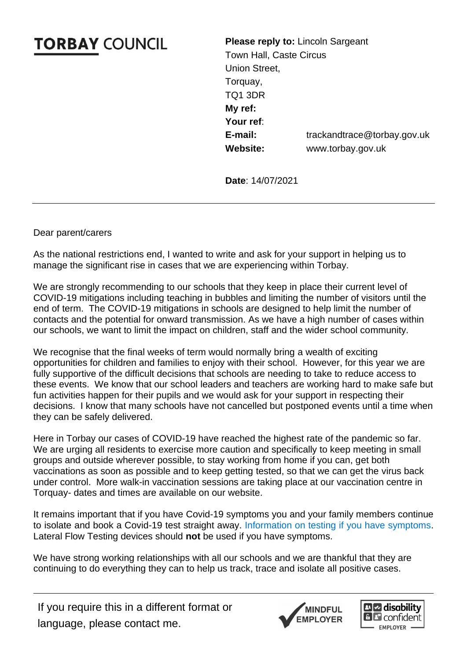## **TORBAY COUNCIL**

**Please reply to:** Lincoln Sargeant Town Hall, Caste Circus Union Street, Torquay, TQ1 3DR **My ref: Your ref**: **E-mail:** trackandtrace@torbay.gov.uk **Website:** [www.torbay.gov.uk](http://www.torbay.gov.uk/)

**Date**: 14/07/2021

Dear parent/carers

As the national restrictions end, I wanted to write and ask for your support in helping us to manage the significant rise in cases that we are experiencing within Torbay.

We are strongly recommending to our schools that they keep in place their current level of COVID-19 mitigations including teaching in bubbles and limiting the number of visitors until the end of term. The COVID-19 mitigations in schools are designed to help limit the number of contacts and the potential for onward transmission. As we have a high number of cases within our schools, we want to limit the impact on children, staff and the wider school community.

We recognise that the final weeks of term would normally bring a wealth of exciting opportunities for children and families to enjoy with their school. However, for this year we are fully supportive of the difficult decisions that schools are needing to take to reduce access to these events. We know that our school leaders and teachers are working hard to make safe but fun activities happen for their pupils and we would ask for your support in respecting their decisions. I know that many schools have not cancelled but postponed events until a time when they can be safely delivered.

Here in Torbay our cases of COVID-19 have reached the highest rate of the pandemic so far. We are urging all residents to exercise more caution and specifically to keep meeting in small groups and outside wherever possible, to stay working from home if you can, get both vaccinations as soon as possible and to keep getting tested, so that we can get the virus back under control. More walk-in vaccination sessions are taking place at our vaccination centre in Torquay- dates and times are available on our website.

It remains important that if you have Covid-19 symptoms you and your family members continue to isolate and book a Covid-19 test straight away. [Information on testing if you have symptoms.](https://www.gov.uk/get-coronavirus-test) Lateral Flow Testing devices should **not** be used if you have symptoms.

We have strong working relationships with all our schools and we are thankful that they are continuing to do everything they can to help us track, trace and isolate all positive cases.

If you require this in a different format or language, please contact me.